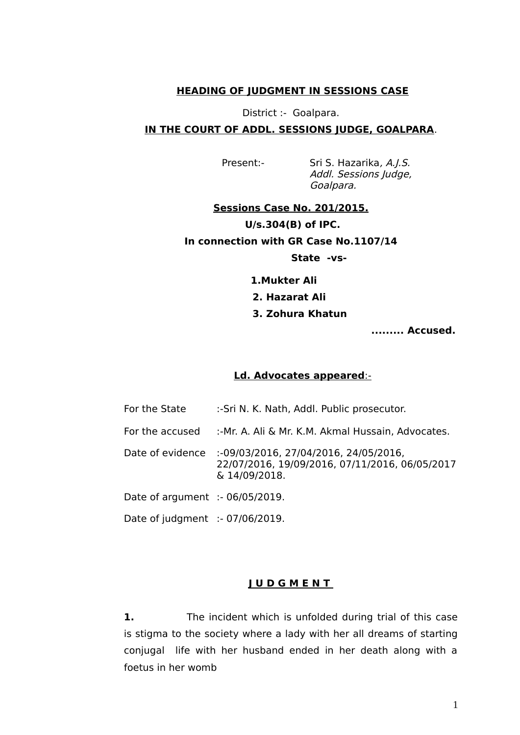# **HEADING OF JUDGMENT IN SESSIONS CASE**

# District :- Goalpara. **IN THE COURT OF ADDL. SESSIONS JUDGE, GOALPARA**.

Present:- Sri S. Hazarika, A.J.S. Addl. Sessions Judge, Goalpara.

# **Sessions Case No. 201/2015. U/s.304(B) of IPC. In connection with GR Case No.1107/14**

## **State -vs-**

 **1.Mukter Ali**

### **2. Hazarat Ali**

## **3. Zohura Khatun**

 **......... Accused.**

#### Ld. Advocates appeared:-

| For the State                     | :- Sri N. K. Nath, Addl. Public prosecutor.                                                              |
|-----------------------------------|----------------------------------------------------------------------------------------------------------|
| For the accused                   | :-Mr. A. Ali & Mr. K.M. Akmal Hussain, Advocates.                                                        |
| Date of evidence                  | :-09/03/2016, 27/04/2016, 24/05/2016,<br>22/07/2016, 19/09/2016, 07/11/2016, 06/05/2017<br>& 14/09/2018. |
| Date of argument $: 06/05/2019$ . |                                                                                                          |
| Date of judgment :- 07/06/2019.   |                                                                                                          |

#### **J U D G M E N T**

**1.** The incident which is unfolded during trial of this case is stigma to the society where a lady with her all dreams of starting conjugal life with her husband ended in her death along with a foetus in her womb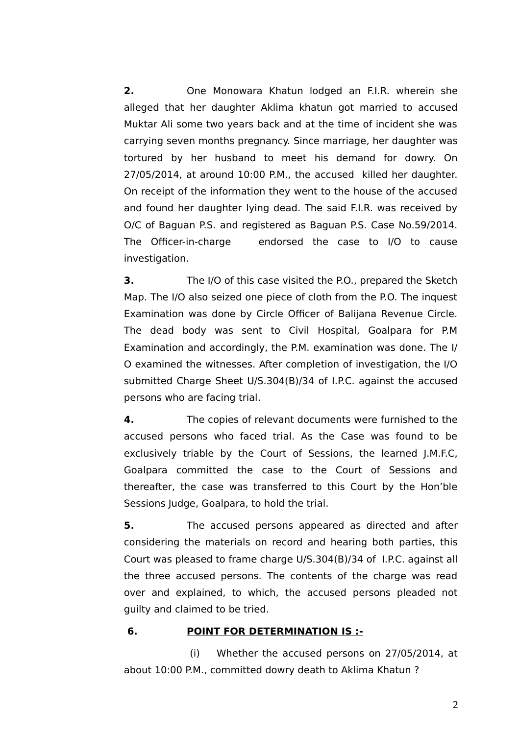**2.** One Monowara Khatun lodged an F.I.R. wherein she alleged that her daughter Aklima khatun got married to accused Muktar Ali some two years back and at the time of incident she was carrying seven months pregnancy. Since marriage, her daughter was tortured by her husband to meet his demand for dowry. On 27/05/2014, at around 10:00 P.M., the accused killed her daughter. On receipt of the information they went to the house of the accused and found her daughter lying dead. The said F.I.R. was received by O/C of Baguan P.S. and registered as Baguan P.S. Case No.59/2014. The Officer-in-charge endorsed the case to I/O to cause investigation.

**3.** The I/O of this case visited the P.O., prepared the Sketch Map. The I/O also seized one piece of cloth from the P.O. The inquest Examination was done by Circle Officer of Balijana Revenue Circle. The dead body was sent to Civil Hospital, Goalpara for P.M Examination and accordingly, the P.M. examination was done. The I/ O examined the witnesses. After completion of investigation, the I/O submitted Charge Sheet U/S.304(B)/34 of I.P.C. against the accused persons who are facing trial.

**4.** The copies of relevant documents were furnished to the accused persons who faced trial. As the Case was found to be exclusively triable by the Court of Sessions, the learned J.M.F.C, Goalpara committed the case to the Court of Sessions and thereafter, the case was transferred to this Court by the Hon'ble Sessions Judge, Goalpara, to hold the trial.

**5.** The accused persons appeared as directed and after considering the materials on record and hearing both parties, this Court was pleased to frame charge U/S.304(B)/34 of I.P.C. against all the three accused persons. The contents of the charge was read over and explained, to which, the accused persons pleaded not guilty and claimed to be tried.

# **6. POINT FOR DETERMINATION IS :-**

 (i) Whether the accused persons on 27/05/2014, at about 10:00 P.M., committed dowry death to Aklima Khatun ?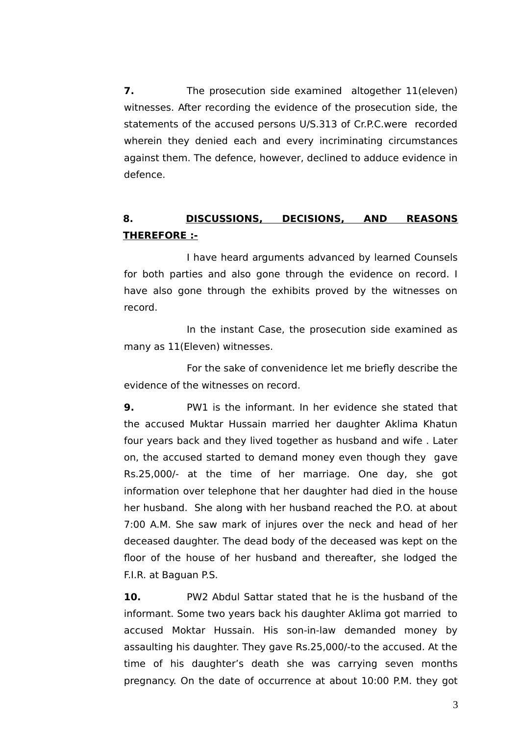**7.** The prosecution side examined altogether 11(eleven) witnesses. After recording the evidence of the prosecution side, the statements of the accused persons U/S.313 of Cr.P.C.were recorded wherein they denied each and every incriminating circumstances against them. The defence, however, declined to adduce evidence in defence.

# **8. DISCUSSIONS, DECISIONS, AND REASONS THEREFORE :-**

I have heard arguments advanced by learned Counsels for both parties and also gone through the evidence on record. I have also gone through the exhibits proved by the witnesses on record.

In the instant Case, the prosecution side examined as many as 11(Eleven) witnesses.

For the sake of convenidence let me briefy describe the evidence of the witnesses on record.

**9.** PW1 is the informant. In her evidence she stated that the accused Muktar Hussain married her daughter Aklima Khatun four years back and they lived together as husband and wife . Later on, the accused started to demand money even though they gave Rs.25,000/- at the time of her marriage. One day, she got information over telephone that her daughter had died in the house her husband. She along with her husband reached the P.O. at about 7:00 A.M. She saw mark of injures over the neck and head of her deceased daughter. The dead body of the deceased was kept on the foor of the house of her husband and thereafter, she lodged the F.I.R. at Baguan P.S.

**10.** PW2 Abdul Sattar stated that he is the husband of the informant. Some two years back his daughter Aklima got married to accused Moktar Hussain. His son-in-law demanded money by assaulting his daughter. They gave Rs.25,000/-to the accused. At the time of his daughter's death she was carrying seven months pregnancy. On the date of occurrence at about 10:00 P.M. they got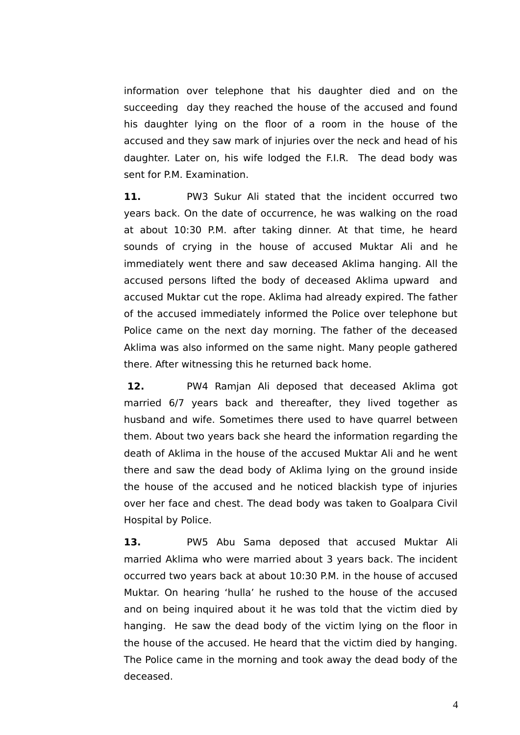information over telephone that his daughter died and on the succeeding day they reached the house of the accused and found his daughter lying on the floor of a room in the house of the accused and they saw mark of injuries over the neck and head of his daughter. Later on, his wife lodged the F.I.R. The dead body was sent for P.M. Examination.

**11.** PW3 Sukur Ali stated that the incident occurred two years back. On the date of occurrence, he was walking on the road at about 10:30 P.M. after taking dinner. At that time, he heard sounds of crying in the house of accused Muktar Ali and he immediately went there and saw deceased Aklima hanging. All the accused persons lifted the body of deceased Aklima upward and accused Muktar cut the rope. Aklima had already expired. The father of the accused immediately informed the Police over telephone but Police came on the next day morning. The father of the deceased Aklima was also informed on the same night. Many people gathered there. After witnessing this he returned back home.

 **12.** PW4 Ramjan Ali deposed that deceased Aklima got married 6/7 years back and thereafter, they lived together as husband and wife. Sometimes there used to have quarrel between them. About two years back she heard the information regarding the death of Aklima in the house of the accused Muktar Ali and he went there and saw the dead body of Aklima lying on the ground inside the house of the accused and he noticed blackish type of injuries over her face and chest. The dead body was taken to Goalpara Civil Hospital by Police.

13. PW5 Abu Sama deposed that accused Muktar Ali married Aklima who were married about 3 years back. The incident occurred two years back at about 10:30 P.M. in the house of accused Muktar. On hearing 'hulla' he rushed to the house of the accused and on being inquired about it he was told that the victim died by hanging. He saw the dead body of the victim lying on the floor in the house of the accused. He heard that the victim died by hanging. The Police came in the morning and took away the dead body of the deceased.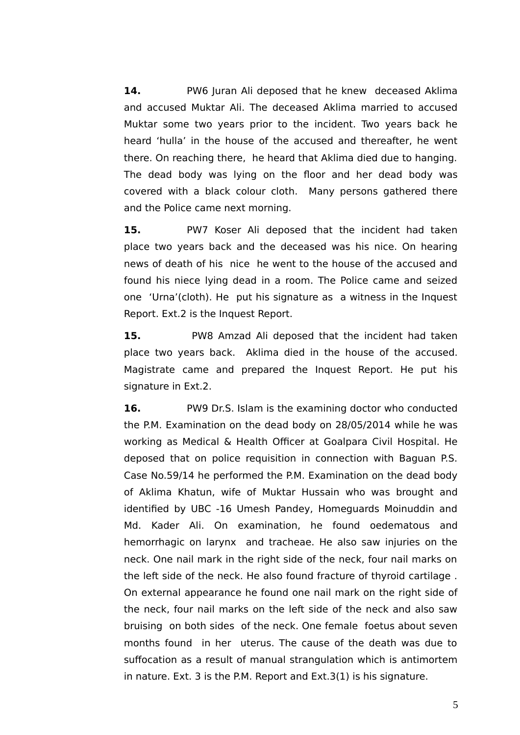**14.** PW6 Juran Ali deposed that he knew deceased Aklima and accused Muktar Ali. The deceased Aklima married to accused Muktar some two years prior to the incident. Two years back he heard 'hulla' in the house of the accused and thereafter, he went there. On reaching there, he heard that Aklima died due to hanging. The dead body was lying on the floor and her dead body was covered with a black colour cloth. Many persons gathered there and the Police came next morning.

15. PW7 Koser Ali deposed that the incident had taken place two years back and the deceased was his nice. On hearing news of death of his nice he went to the house of the accused and found his niece lying dead in a room. The Police came and seized one 'Urna'(cloth). He put his signature as a witness in the Inquest Report. Ext.2 is the Inquest Report.

**15.** PW8 Amzad Ali deposed that the incident had taken place two years back. Aklima died in the house of the accused. Magistrate came and prepared the Inquest Report. He put his signature in Ext.2.

**16.** PW9 Dr.S. Islam is the examining doctor who conducted the P.M. Examination on the dead body on 28/05/2014 while he was working as Medical & Health Officer at Goalpara Civil Hospital. He deposed that on police requisition in connection with Baguan P.S. Case No.59/14 he performed the P.M. Examination on the dead body of Aklima Khatun, wife of Muktar Hussain who was brought and identifed by UBC -16 Umesh Pandey, Homeguards Moinuddin and Md. Kader Ali. On examination, he found oedematous and hemorrhagic on larynx and tracheae. He also saw injuries on the neck. One nail mark in the right side of the neck, four nail marks on the left side of the neck. He also found fracture of thyroid cartilage . On external appearance he found one nail mark on the right side of the neck, four nail marks on the left side of the neck and also saw bruising on both sides of the neck. One female foetus about seven months found in her uterus. The cause of the death was due to suffocation as a result of manual strangulation which is antimortem in nature. Ext. 3 is the P.M. Report and Ext.3(1) is his signature.

5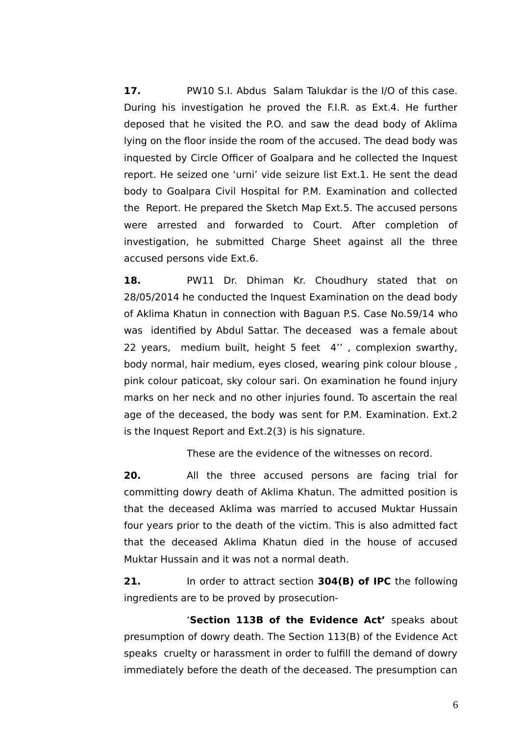**17.** PW10 S.I. Abdus Salam Talukdar is the I/O of this case. During his investigation he proved the F.I.R. as Ext.4. He further deposed that he visited the P.O. and saw the dead body of Aklima lying on the floor inside the room of the accused. The dead body was inquested by Circle Officer of Goalpara and he collected the Inquest report. He seized one 'urni' vide seizure list Ext.1. He sent the dead body to Goalpara Civil Hospital for P.M. Examination and collected the Report. He prepared the Sketch Map Ext.5. The accused persons were arrested and forwarded to Court. After completion of investigation, he submitted Charge Sheet against all the three accused persons vide Ext.6.

**18.** PW11 Dr. Dhiman Kr. Choudhury stated that on 28/05/2014 he conducted the Inquest Examination on the dead body of Aklima Khatun in connection with Baguan P.S. Case No.59/14 who was identifed by Abdul Sattar. The deceased was a female about 22 years, medium built, height 5 feet 4'' , complexion swarthy, body normal, hair medium, eyes closed, wearing pink colour blouse , pink colour paticoat, sky colour sari. On examination he found injury marks on her neck and no other injuries found. To ascertain the real age of the deceased, the body was sent for P.M. Examination. Ext.2 is the Inquest Report and Ext.2(3) is his signature.

These are the evidence of the witnesses on record.

**20.** All the three accused persons are facing trial for committing dowry death of Aklima Khatun. The admitted position is that the deceased Aklima was married to accused Muktar Hussain four years prior to the death of the victim. This is also admitted fact that the deceased Aklima Khatun died in the house of accused Muktar Hussain and it was not a normal death.

**21.** In order to attract section **304(B) of IPC** the following ingredients are to be proved by prosecution-

'**Section 113B of the Evidence Act'** speaks about presumption of dowry death. The Section 113(B) of the Evidence Act speaks cruelty or harassment in order to fulfll the demand of dowry immediately before the death of the deceased. The presumption can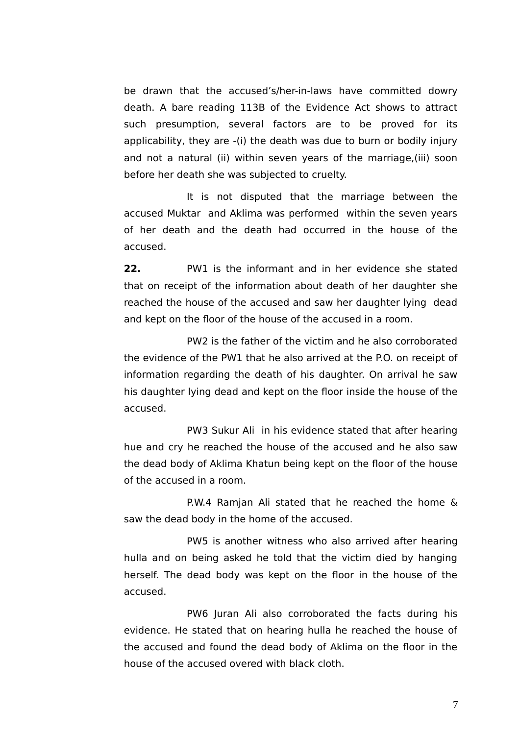be drawn that the accused's/her-in-laws have committed dowry death. A bare reading 113B of the Evidence Act shows to attract such presumption, several factors are to be proved for its applicability, they are -(i) the death was due to burn or bodily injury and not a natural (ii) within seven years of the marriage,(iii) soon before her death she was subjected to cruelty.

It is not disputed that the marriage between the accused Muktar and Aklima was performed within the seven years of her death and the death had occurred in the house of the accused.

**22.** PW1 is the informant and in her evidence she stated that on receipt of the information about death of her daughter she reached the house of the accused and saw her daughter lying dead and kept on the foor of the house of the accused in a room.

PW2 is the father of the victim and he also corroborated the evidence of the PW1 that he also arrived at the P.O. on receipt of information regarding the death of his daughter. On arrival he saw his daughter lying dead and kept on the floor inside the house of the accused.

PW3 Sukur Ali in his evidence stated that after hearing hue and cry he reached the house of the accused and he also saw the dead body of Aklima Khatun being kept on the floor of the house of the accused in a room.

P.W.4 Ramjan Ali stated that he reached the home & saw the dead body in the home of the accused.

PW5 is another witness who also arrived after hearing hulla and on being asked he told that the victim died by hanging herself. The dead body was kept on the floor in the house of the accused.

PW6 Juran Ali also corroborated the facts during his evidence. He stated that on hearing hulla he reached the house of the accused and found the dead body of Aklima on the foor in the house of the accused overed with black cloth.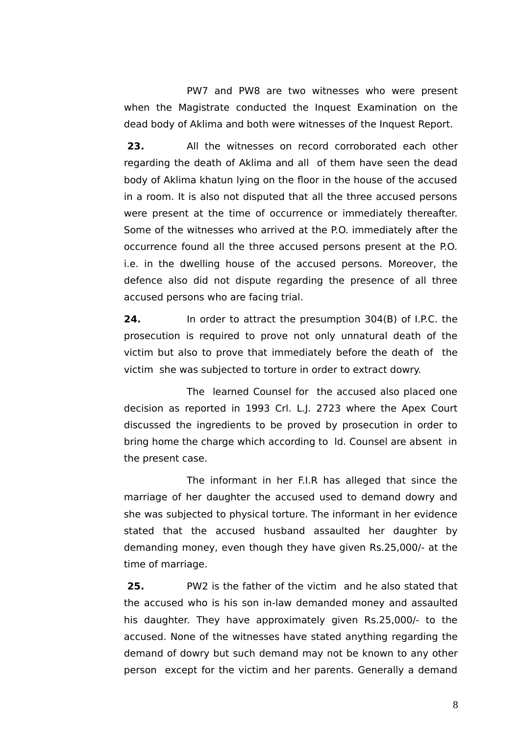PW7 and PW8 are two witnesses who were present when the Magistrate conducted the Inquest Examination on the dead body of Aklima and both were witnesses of the Inquest Report.

**23.** All the witnesses on record corroborated each other regarding the death of Aklima and all of them have seen the dead body of Aklima khatun lying on the floor in the house of the accused in a room. It is also not disputed that all the three accused persons were present at the time of occurrence or immediately thereafter. Some of the witnesses who arrived at the P.O. immediately after the occurrence found all the three accused persons present at the P.O. i.e. in the dwelling house of the accused persons. Moreover, the defence also did not dispute regarding the presence of all three accused persons who are facing trial.

**24.** In order to attract the presumption 304(B) of I.P.C. the prosecution is required to prove not only unnatural death of the victim but also to prove that immediately before the death of the victim she was subjected to torture in order to extract dowry.

The learned Counsel for the accused also placed one decision as reported in 1993 Crl. L.J. 2723 where the Apex Court discussed the ingredients to be proved by prosecution in order to bring home the charge which according to ld. Counsel are absent in the present case.

The informant in her F.I.R has alleged that since the marriage of her daughter the accused used to demand dowry and she was subjected to physical torture. The informant in her evidence stated that the accused husband assaulted her daughter by demanding money, even though they have given Rs.25,000/- at the time of marriage.

 **25.** PW2 is the father of the victim and he also stated that the accused who is his son in-law demanded money and assaulted his daughter. They have approximately given Rs.25,000/- to the accused. None of the witnesses have stated anything regarding the demand of dowry but such demand may not be known to any other person except for the victim and her parents. Generally a demand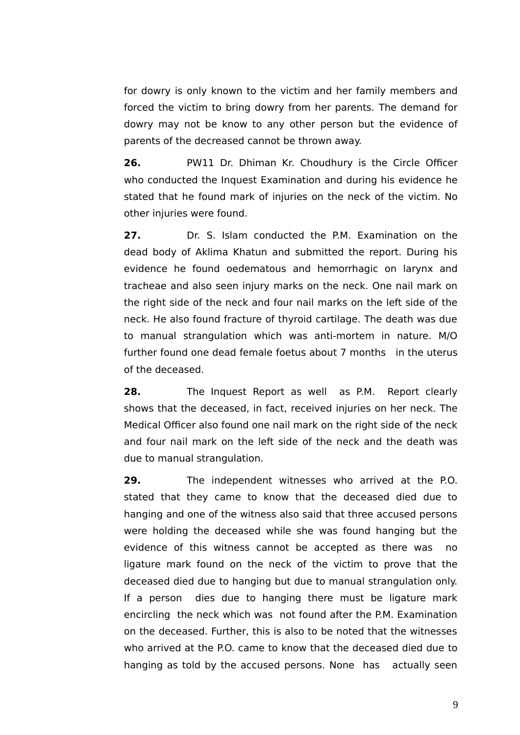for dowry is only known to the victim and her family members and forced the victim to bring dowry from her parents. The demand for dowry may not be know to any other person but the evidence of parents of the decreased cannot be thrown away.

**26.** PW11 Dr. Dhiman Kr. Choudhury is the Circle Officer who conducted the Inquest Examination and during his evidence he stated that he found mark of injuries on the neck of the victim. No other injuries were found.

**27.** Dr. S. Islam conducted the P.M. Examination on the dead body of Aklima Khatun and submitted the report. During his evidence he found oedematous and hemorrhagic on larynx and tracheae and also seen injury marks on the neck. One nail mark on the right side of the neck and four nail marks on the left side of the neck. He also found fracture of thyroid cartilage. The death was due to manual strangulation which was anti-mortem in nature. M/O further found one dead female foetus about 7 months in the uterus of the deceased.

**28.** The Inquest Report as well as P.M. Report clearly shows that the deceased, in fact, received injuries on her neck. The Medical Officer also found one nail mark on the right side of the neck and four nail mark on the left side of the neck and the death was due to manual strangulation.

**29.** The independent witnesses who arrived at the P.O. stated that they came to know that the deceased died due to hanging and one of the witness also said that three accused persons were holding the deceased while she was found hanging but the evidence of this witness cannot be accepted as there was no ligature mark found on the neck of the victim to prove that the deceased died due to hanging but due to manual strangulation only. If a person dies due to hanging there must be ligature mark encircling the neck which was not found after the P.M. Examination on the deceased. Further, this is also to be noted that the witnesses who arrived at the P.O. came to know that the deceased died due to hanging as told by the accused persons. None has actually seen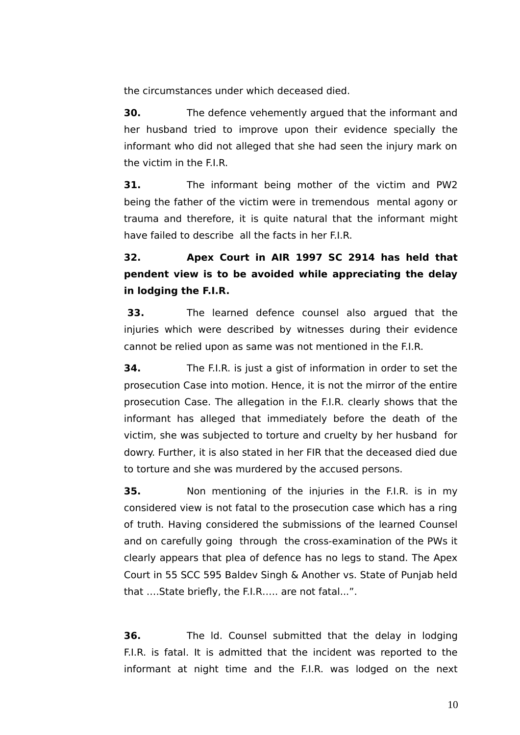the circumstances under which deceased died.

**30.** The defence vehemently argued that the informant and her husband tried to improve upon their evidence specially the informant who did not alleged that she had seen the injury mark on the victim in the FLR

**31.** The informant being mother of the victim and PW2 being the father of the victim were in tremendous mental agony or trauma and therefore, it is quite natural that the informant might have failed to describe all the facts in her F.I.R.

**32. Apex Court in AIR 1997 SC 2914 has held that pendent view is to be avoided while appreciating the delay in lodging the F.I.R.**

 **33.** The learned defence counsel also argued that the injuries which were described by witnesses during their evidence cannot be relied upon as same was not mentioned in the F.I.R.

**34.** The F.I.R. is just a gist of information in order to set the prosecution Case into motion. Hence, it is not the mirror of the entire prosecution Case. The allegation in the F.I.R. clearly shows that the informant has alleged that immediately before the death of the victim, she was subjected to torture and cruelty by her husband for dowry. Further, it is also stated in her FIR that the deceased died due to torture and she was murdered by the accused persons.

**35.** Non mentioning of the injuries in the F.I.R. is in my considered view is not fatal to the prosecution case which has a ring of truth. Having considered the submissions of the learned Counsel and on carefully going through the cross-examination of the PWs it clearly appears that plea of defence has no legs to stand. The Apex Court in 55 SCC 595 Baldev Singh & Another vs. State of Punjab held that ….State briefy, the F.I.R….. are not fatal..."..

**36.** The ld. Counsel submitted that the delay in lodging F.I.R. is fatal. It is admitted that the incident was reported to the informant at night time and the F.I.R. was lodged on the next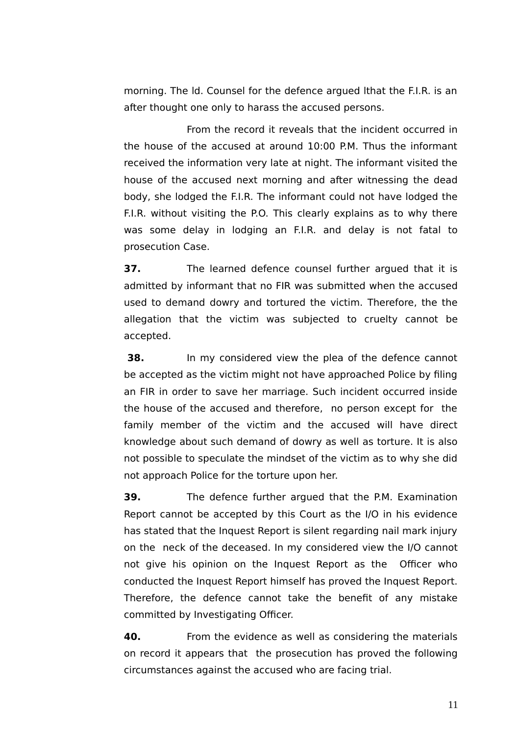morning. The ld. Counsel for the defence argued lthat the F.I.R. is an after thought one only to harass the accused persons.

From the record it reveals that the incident occurred in the house of the accused at around 10:00 P.M. Thus the informant received the information very late at night. The informant visited the house of the accused next morning and after witnessing the dead body, she lodged the F.I.R. The informant could not have lodged the F.I.R. without visiting the P.O. This clearly explains as to why there was some delay in lodging an F.I.R. and delay is not fatal to prosecution Case.

**37.** The learned defence counsel further argued that it is admitted by informant that no FIR was submitted when the accused used to demand dowry and tortured the victim. Therefore, the the allegation that the victim was subjected to cruelty cannot be accepted.

**38.** In my considered view the plea of the defence cannot be accepted as the victim might not have approached Police by fling an FIR in order to save her marriage. Such incident occurred inside the house of the accused and therefore, no person except for the family member of the victim and the accused will have direct knowledge about such demand of dowry as well as torture. It is also not possible to speculate the mindset of the victim as to why she did not approach Police for the torture upon her.

**39.** The defence further argued that the P.M. Examination Report cannot be accepted by this Court as the I/O in his evidence has stated that the Inquest Report is silent regarding nail mark injury on the neck of the deceased. In my considered view the I/O cannot not give his opinion on the Inquest Report as the Officer who conducted the Inquest Report himself has proved the Inquest Report. Therefore, the defence cannot take the beneft of any mistake committed by Investigating Officer.

**40.** From the evidence as well as considering the materials on record it appears that the prosecution has proved the following circumstances against the accused who are facing trial.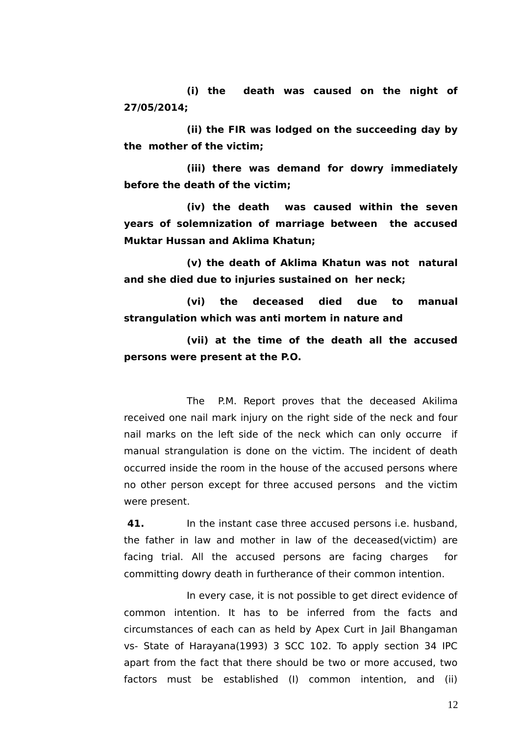**(i) the death was caused on the night of 27/05/2014;**

**(ii) the FIR was lodged on the succeeding day by the mother of the victim;**

**(iii) there was demand for dowry immediately before the death of the victim;**

**(iv) the death was caused within the seven years of solemnization of marriage between the accused Muktar Hussan and Aklima Khatun;**

**(v) the death of Aklima Khatun was not natural and she died due to injuries sustained on her neck;**

**(vi) the deceased died due to manual strangulation which was anti mortem in nature and**

**(vii) at the time of the death all the accused persons were present at the P.O.**

The P.M. Report proves that the deceased Akilima received one nail mark injury on the right side of the neck and four nail marks on the left side of the neck which can only occurre if manual strangulation is done on the victim. The incident of death occurred inside the room in the house of the accused persons where no other person except for three accused persons and the victim were present.

**41.** In the instant case three accused persons i.e. husband, the father in law and mother in law of the deceased(victim) are facing trial. All the accused persons are facing charges for committing dowry death in furtherance of their common intention.

In every case, it is not possible to get direct evidence of common intention. It has to be inferred from the facts and circumstances of each can as held by Apex Curt in Jail Bhangaman vs- State of Harayana(1993) 3 SCC 102. To apply section 34 IPC apart from the fact that there should be two or more accused, two factors must be established (I) common intention, and (ii)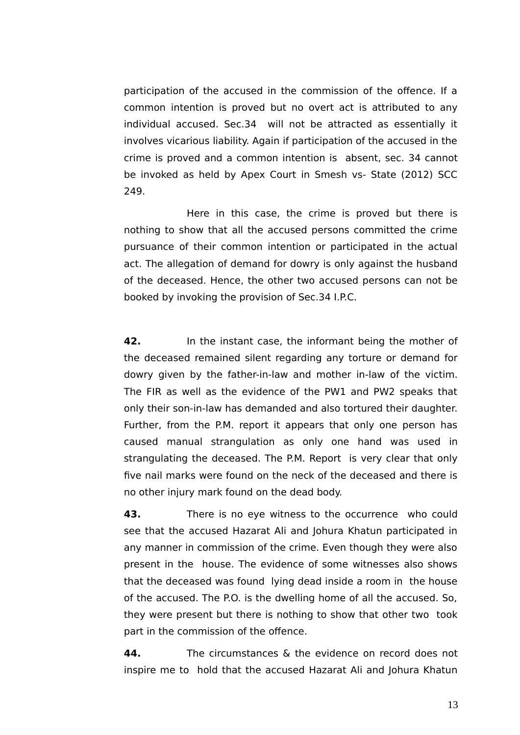participation of the accused in the commission of the offence. If a common intention is proved but no overt act is attributed to any individual accused. Sec.34 will not be attracted as essentially it involves vicarious liability. Again if participation of the accused in the crime is proved and a common intention is absent, sec. 34 cannot be invoked as held by Apex Court in Smesh vs- State (2012) SCC 249.

Here in this case, the crime is proved but there is nothing to show that all the accused persons committed the crime pursuance of their common intention or participated in the actual act. The allegation of demand for dowry is only against the husband of the deceased. Hence, the other two accused persons can not be booked by invoking the provision of Sec.34 I.P.C.

**42.** In the instant case, the informant being the mother of the deceased remained silent regarding any torture or demand for dowry given by the father-in-law and mother in-law of the victim. The FIR as well as the evidence of the PW1 and PW2 speaks that only their son-in-law has demanded and also tortured their daughter. Further, from the P.M. report it appears that only one person has caused manual strangulation as only one hand was used in strangulating the deceased. The P.M. Report is very clear that only fve nail marks were found on the neck of the deceased and there is no other injury mark found on the dead body.

**43.** There is no eye witness to the occurrence who could see that the accused Hazarat Ali and Johura Khatun participated in any manner in commission of the crime. Even though they were also present in the house. The evidence of some witnesses also shows that the deceased was found lying dead inside a room in the house of the accused. The P.O. is the dwelling home of all the accused. So, they were present but there is nothing to show that other two took part in the commission of the offence.

**44.** The circumstances & the evidence on record does not inspire me to hold that the accused Hazarat Ali and Johura Khatun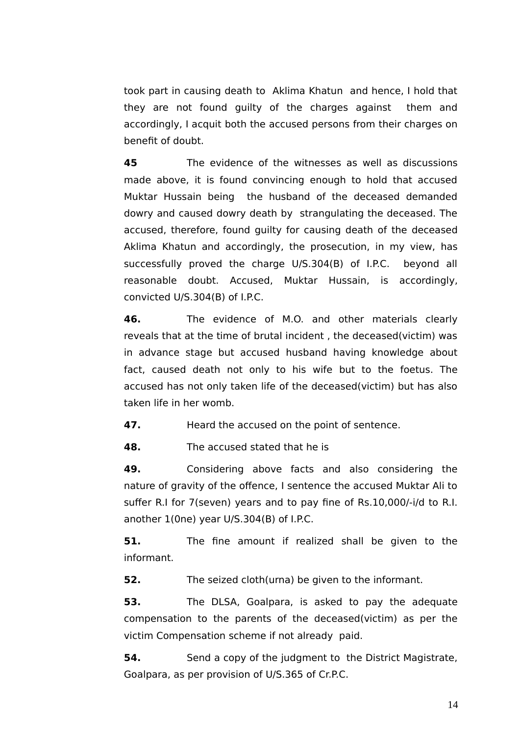took part in causing death to Aklima Khatun and hence, I hold that they are not found guilty of the charges against them and accordingly, I acquit both the accused persons from their charges on beneft of doubt.

**45** The evidence of the witnesses as well as discussions made above, it is found convincing enough to hold that accused Muktar Hussain being the husband of the deceased demanded dowry and caused dowry death by strangulating the deceased. The accused, therefore, found guilty for causing death of the deceased Aklima Khatun and accordingly, the prosecution, in my view, has successfully proved the charge U/S.304(B) of I.P.C. beyond all reasonable doubt. Accused, Muktar Hussain, is accordingly, convicted U/S.304(B) of I.P.C.

**46.** The evidence of M.O. and other materials clearly reveals that at the time of brutal incident , the deceased(victim) was in advance stage but accused husband having knowledge about fact, caused death not only to his wife but to the foetus. The accused has not only taken life of the deceased(victim) but has also taken life in her womb.

**47. Heard the accused on the point of sentence.** 

**48.** The accused stated that he is

**49.** Considering above facts and also considering the nature of gravity of the offence, I sentence the accused Muktar Ali to suffer R.I for 7(seven) years and to pay fne of Rs.10,000/-i/d to R.I. another 1(0ne) year U/S.304(B) of I.P.C.

**51.** The fine amount if realized shall be given to the informant.

**52.** The seized cloth(urna) be given to the informant.

**53.** The DLSA, Goalpara, is asked to pay the adequate compensation to the parents of the deceased(victim) as per the victim Compensation scheme if not already paid.

**54.** Send a copy of the judgment to the District Magistrate, Goalpara, as per provision of U/S.365 of Cr.P.C.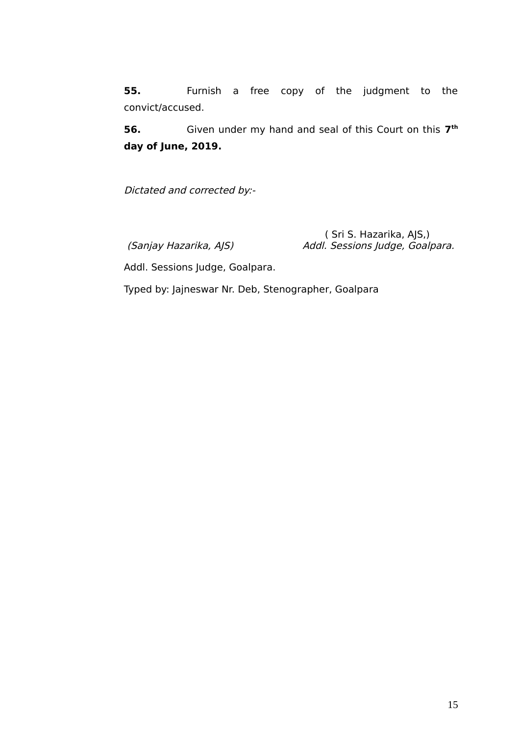**55.** Furnish a free copy of the judgment to the convict/accused.

**56.** Given under my hand and seal of this Court on this **7th day of June, 2019.**

Dictated and corrected by:-

( Sri S. Hazarika, AJS, )<br>Addl. Sessions Judge, Goalµ (Sanjay Hazarika, AJS) (Sanjay Hazarika, AJS) Addl. Sessions Judge, Goalpara.

Addl. Sessions Judge, Goalpara.

Typed by: Jajneswar Nr. Deb, Stenographer, Goalpara